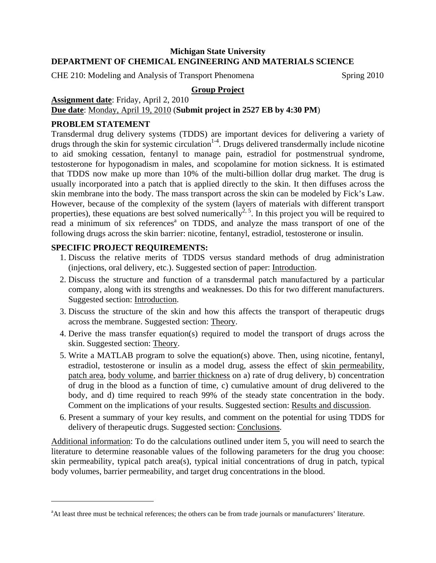## **Michigan State University DEPARTMENT OF CHEMICAL ENGINEERING AND MATERIALS SCIENCE**

CHE 210: Modeling and Analysis of Transport Phenomena Spring 2010

## **Group Project**

**Assignment date**: Friday, April 2, 2010

**Due date**: Monday, April 19, 2010 (**Submit project in 2527 EB by 4:30 PM**)

## **PROBLEM STATEMENT**

 $\overline{a}$ 

Transdermal drug delivery systems (TDDS) are important devices for delivering a variety of drugs through the skin for systemic circulation<sup>1-4</sup>. Drugs delivered transdermally include nicotine to aid smoking cessation, fentanyl to manage pain, estradiol for postmenstrual syndrome, testosterone for hypogonadism in males, and scopolamine for motion sickness. It is estimated that TDDS now make up more than 10% of the multi-billion dollar drug market. The drug is usually incorporated into a patch that is applied directly to the skin. It then diffuses across the skin membrane into the body. The mass transport across the skin can be modeled by Fick's Law. However, because of the complexity of the system (layers of materials with different transport properties), these equations are best solved numerically<sup>2, 5</sup>. In this project you will be required to read a minimum of six references<sup>a</sup> on TDDS, and analyze the mass transport of one of the following drugs across the skin barrier: nicotine, fentanyl, estradiol, testosterone or insulin.

# **SPECIFIC PROJECT REQUIREMENTS:**

- 1. Discuss the relative merits of TDDS versus standard methods of drug administration (injections, oral delivery, etc.). Suggested section of paper: Introduction.
- 2. Discuss the structure and function of a transdermal patch manufactured by a particular company, along with its strengths and weaknesses. Do this for two different manufacturers. Suggested section: Introduction.
- 3. Discuss the structure of the skin and how this affects the transport of therapeutic drugs across the membrane. Suggested section: Theory.
- 4. Derive the mass transfer equation(s) required to model the transport of drugs across the skin. Suggested section: Theory.
- 5. Write a MATLAB program to solve the equation(s) above. Then, using nicotine, fentanyl, estradiol, testosterone or insulin as a model drug, assess the effect of skin permeability, patch area, body volume, and barrier thickness on a) rate of drug delivery, b) concentration of drug in the blood as a function of time, c) cumulative amount of drug delivered to the body, and d) time required to reach 99% of the steady state concentration in the body. Comment on the implications of your results. Suggested section: Results and discussion.
- 6. Present a summary of your key results, and comment on the potential for using TDDS for delivery of therapeutic drugs. Suggested section: Conclusions.

Additional information: To do the calculations outlined under item 5, you will need to search the literature to determine reasonable values of the following parameters for the drug you choose: skin permeability, typical patch area(s), typical initial concentrations of drug in patch, typical body volumes, barrier permeability, and target drug concentrations in the blood.

<sup>&</sup>lt;sup>a</sup>At least three must be technical references; the others can be from trade journals or manufacturers' literature.